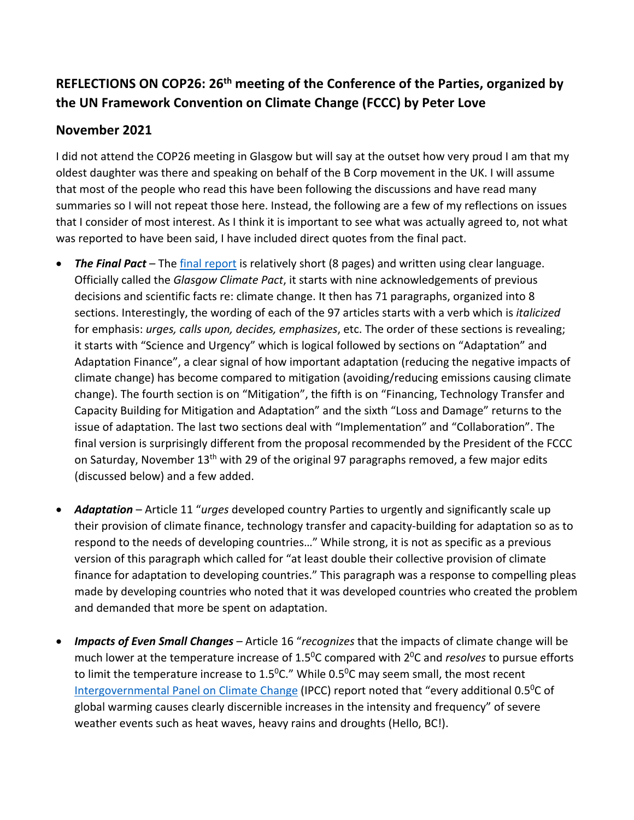## **REFLECTIONS ON COP26: 26th meeting of the Conference of the Parties, organized by the UN Framework Convention on Climate Change (FCCC) by Peter Love**

## **November 2021**

I did not attend the COP26 meeting in Glasgow but will say at the outset how very proud I am that my oldest daughter was there and speaking on behalf of the B Corp movement in the UK. I will assume that most of the people who read this have been following the discussions and have read many summaries so I will not repeat those here. Instead, the following are a few of my reflections on issues that I consider of most interest. As I think it is important to see what was actually agreed to, not what was reported to have been said, I have included direct quotes from the final pact.

- *The Final Pact* The final report is relatively short (8 pages) and written using clear language. Officially called the *Glasgow Climate Pact*, it starts with nine acknowledgements of previous decisions and scientific facts re: climate change. It then has 71 paragraphs, organized into 8 sections. Interestingly, the wording of each of the 97 articles starts with a verb which is *italicized* for emphasis: *urges, calls upon, decides, emphasizes*, etc. The order of these sections is revealing; it starts with "Science and Urgency" which is logical followed by sections on "Adaptation" and Adaptation Finance", a clear signal of how important adaptation (reducing the negative impacts of climate change) has become compared to mitigation (avoiding/reducing emissions causing climate change). The fourth section is on "Mitigation", the fifth is on "Financing, Technology Transfer and Capacity Building for Mitigation and Adaptation" and the sixth "Loss and Damage" returns to the issue of adaptation. The last two sections deal with "Implementation" and "Collaboration". The final version is surprisingly different from the proposal recommended by the President of the FCCC on Saturday, November 13<sup>th</sup> with 29 of the original 97 paragraphs removed, a few major edits (discussed below) and a few added.
- *Adaptation* Article 11 "*urges* developed country Parties to urgently and significantly scale up their provision of climate finance, technology transfer and capacity-building for adaptation so as to respond to the needs of developing countries…" While strong, it is not as specific as a previous version of this paragraph which called for "at least double their collective provision of climate finance for adaptation to developing countries." This paragraph was a response to compelling pleas made by developing countries who noted that it was developed countries who created the problem and demanded that more be spent on adaptation.
- *Impacts of Even Small Changes* Article 16 "*recognizes* that the impacts of climate change will be much lower at the temperature increase of 1.5<sup>o</sup>C compared with 2<sup>o</sup>C and *resolves* to pursue efforts to limit the temperature increase to 1.5<sup>o</sup>C." While 0.5<sup>o</sup>C may seem small, the most recent Intergovernmental Panel on Climate Change (IPCC) report noted that "every additional 0.5<sup>o</sup>C of global warming causes clearly discernible increases in the intensity and frequency" of severe weather events such as heat waves, heavy rains and droughts (Hello, BC!).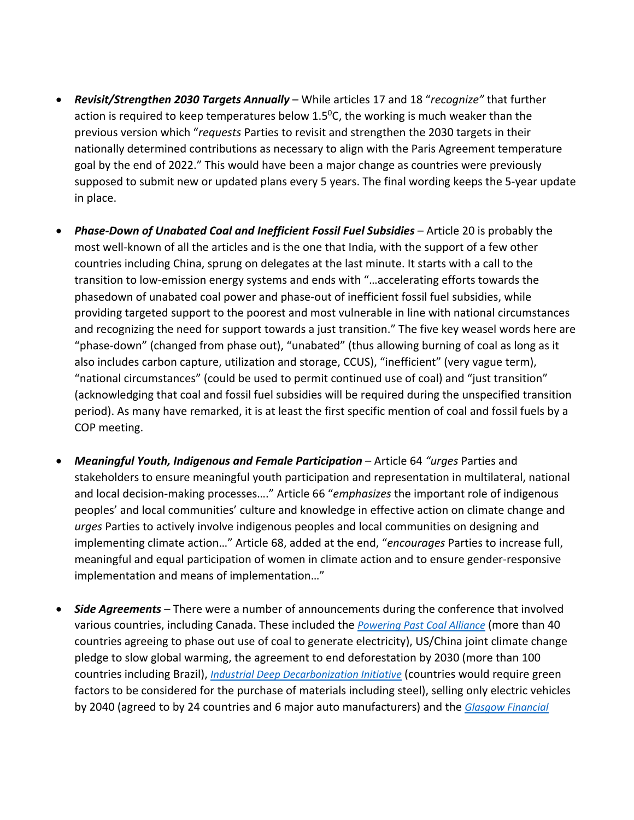- *Revisit/Strengthen 2030 Targets Annually* While articles 17 and 18 "*recognize"* that further action is required to keep temperatures below  $1.5^{\circ}$ C, the working is much weaker than the previous version which "*requests* Parties to revisit and strengthen the 2030 targets in their nationally determined contributions as necessary to align with the Paris Agreement temperature goal by the end of 2022." This would have been a major change as countries were previously supposed to submit new or updated plans every 5 years. The final wording keeps the 5-year update in place.
- *Phase-Down of Unabated Coal and Inefficient Fossil Fuel Subsidies* Article 20 is probably the most well-known of all the articles and is the one that India, with the support of a few other countries including China, sprung on delegates at the last minute. It starts with a call to the transition to low-emission energy systems and ends with "…accelerating efforts towards the phasedown of unabated coal power and phase-out of inefficient fossil fuel subsidies, while providing targeted support to the poorest and most vulnerable in line with national circumstances and recognizing the need for support towards a just transition." The five key weasel words here are "phase-down" (changed from phase out), "unabated" (thus allowing burning of coal as long as it also includes carbon capture, utilization and storage, CCUS), "inefficient" (very vague term), "national circumstances" (could be used to permit continued use of coal) and "just transition" (acknowledging that coal and fossil fuel subsidies will be required during the unspecified transition period). As many have remarked, it is at least the first specific mention of coal and fossil fuels by a COP meeting.
- *Meaningful Youth, Indigenous and Female Participation* Article 64 *"urges* Parties and stakeholders to ensure meaningful youth participation and representation in multilateral, national and local decision-making processes…." Article 66 "*emphasizes* the important role of indigenous peoples' and local communities' culture and knowledge in effective action on climate change and *urges* Parties to actively involve indigenous peoples and local communities on designing and implementing climate action…" Article 68, added at the end, "*encourages* Parties to increase full, meaningful and equal participation of women in climate action and to ensure gender-responsive implementation and means of implementation…"
- **Side Agreements** There were a number of announcements during the conference that involved various countries, including Canada. These included the *Powering Past Coal Alliance* (more than 40 countries agreeing to phase out use of coal to generate electricity), US/China joint climate change pledge to slow global warming, the agreement to end deforestation by 2030 (more than 100 countries including Brazil), *Industrial Deep Decarbonization Initiative* (countries would require green factors to be considered for the purchase of materials including steel), selling only electric vehicles by 2040 (agreed to by 24 countries and 6 major auto manufacturers) and the *Glasgow Financial*